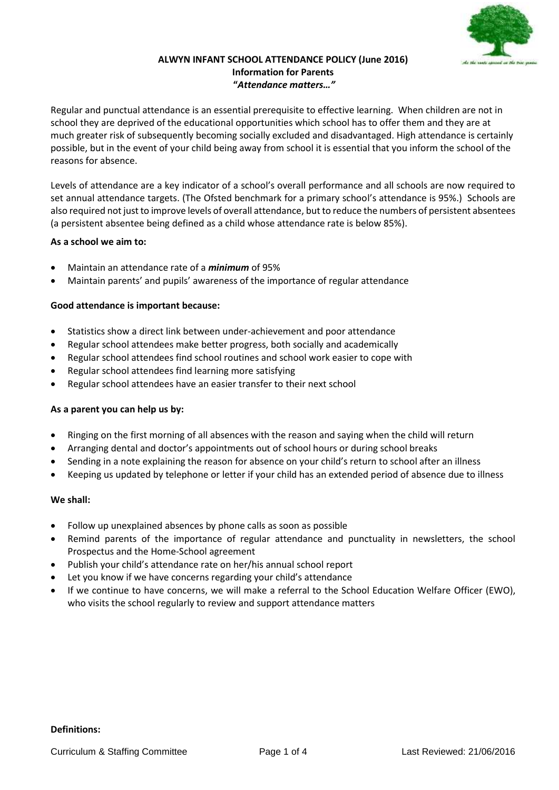

### **ALWYN INFANT SCHOOL ATTENDANCE POLICY (June 2016) Information for Parents "***Attendance matters…"*

Regular and punctual attendance is an essential prerequisite to effective learning. When children are not in school they are deprived of the educational opportunities which school has to offer them and they are at much greater risk of subsequently becoming socially excluded and disadvantaged. High attendance is certainly possible, but in the event of your child being away from school it is essential that you inform the school of the reasons for absence.

Levels of attendance are a key indicator of a school's overall performance and all schools are now required to set annual attendance targets. (The Ofsted benchmark for a primary school's attendance is 95%.) Schools are also required not just to improve levels of overall attendance, but to reduce the numbers of persistent absentees (a persistent absentee being defined as a child whose attendance rate is below 85%).

# **As a school we aim to:**

- Maintain an attendance rate of a *minimum* of 95%
- Maintain parents' and pupils' awareness of the importance of regular attendance

# **Good attendance is important because:**

- Statistics show a direct link between under-achievement and poor attendance
- Regular school attendees make better progress, both socially and academically
- Regular school attendees find school routines and school work easier to cope with
- Regular school attendees find learning more satisfying
- Regular school attendees have an easier transfer to their next school

# **As a parent you can help us by:**

- Ringing on the first morning of all absences with the reason and saying when the child will return
- Arranging dental and doctor's appointments out of school hours or during school breaks
- Sending in a note explaining the reason for absence on your child's return to school after an illness
- Keeping us updated by telephone or letter if your child has an extended period of absence due to illness

# **We shall:**

- Follow up unexplained absences by phone calls as soon as possible
- Remind parents of the importance of regular attendance and punctuality in newsletters, the school Prospectus and the Home-School agreement
- Publish your child's attendance rate on her/his annual school report
- Let you know if we have concerns regarding your child's attendance
- If we continue to have concerns, we will make a referral to the School Education Welfare Officer (EWO), who visits the school regularly to review and support attendance matters

# **Definitions:**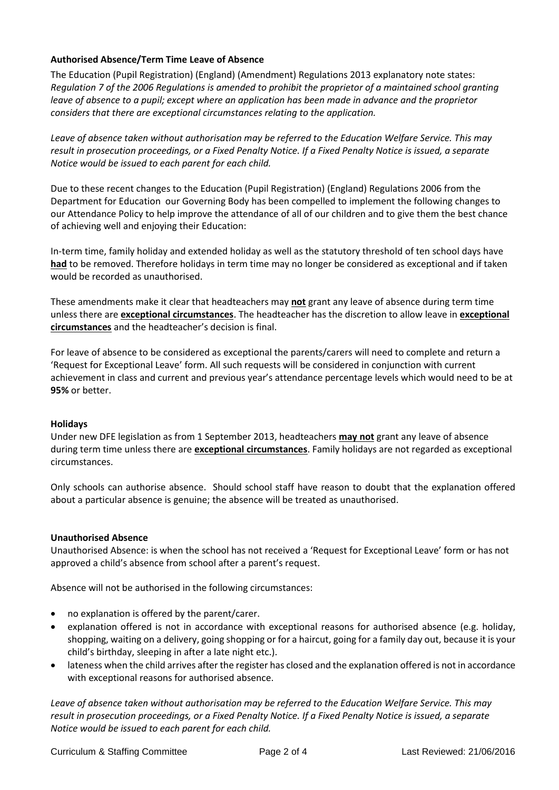# **Authorised Absence/Term Time Leave of Absence**

The Education (Pupil Registration) (England) (Amendment) Regulations 2013 explanatory note states: *Regulation 7 of the 2006 Regulations is amended to prohibit the proprietor of a maintained school granting leave of absence to a pupil; except where an application has been made in advance and the proprietor considers that there are exceptional circumstances relating to the application.*

*Leave of absence taken without authorisation may be referred to the Education Welfare Service. This may result in prosecution proceedings, or a Fixed Penalty Notice. If a Fixed Penalty Notice is issued, a separate Notice would be issued to each parent for each child.*

Due to these recent changes to the Education (Pupil Registration) (England) Regulations 2006 from the Department for Education our Governing Body has been compelled to implement the following changes to our Attendance Policy to help improve the attendance of all of our children and to give them the best chance of achieving well and enjoying their Education:

In-term time, family holiday and extended holiday as well as the statutory threshold of ten school days have **had** to be removed. Therefore holidays in term time may no longer be considered as exceptional and if taken would be recorded as unauthorised.

These amendments make it clear that headteachers may **not** grant any leave of absence during term time unless there are **exceptional circumstances**. The headteacher has the discretion to allow leave in **exceptional circumstances** and the headteacher's decision is final.

For leave of absence to be considered as exceptional the parents/carers will need to complete and return a 'Request for Exceptional Leave' form. All such requests will be considered in conjunction with current achievement in class and current and previous year's attendance percentage levels which would need to be at **95%** or better.

# **Holidays**

Under new DFE legislation as from 1 September 2013, headteachers **may not** grant any leave of absence during term time unless there are **exceptional circumstances**. Family holidays are not regarded as exceptional circumstances.

Only schools can authorise absence. Should school staff have reason to doubt that the explanation offered about a particular absence is genuine; the absence will be treated as unauthorised.

# **Unauthorised Absence**

Unauthorised Absence: is when the school has not received a 'Request for Exceptional Leave' form or has not approved a child's absence from school after a parent's request.

Absence will not be authorised in the following circumstances:

- no explanation is offered by the parent/carer.
- explanation offered is not in accordance with exceptional reasons for authorised absence (e.g. holiday, shopping, waiting on a delivery, going shopping or for a haircut, going for a family day out, because it is your child's birthday, sleeping in after a late night etc.).
- lateness when the child arrives after the register has closed and the explanation offered is not in accordance with exceptional reasons for authorised absence.

*Leave of absence taken without authorisation may be referred to the Education Welfare Service. This may result in prosecution proceedings, or a Fixed Penalty Notice. If a Fixed Penalty Notice is issued, a separate Notice would be issued to each parent for each child.*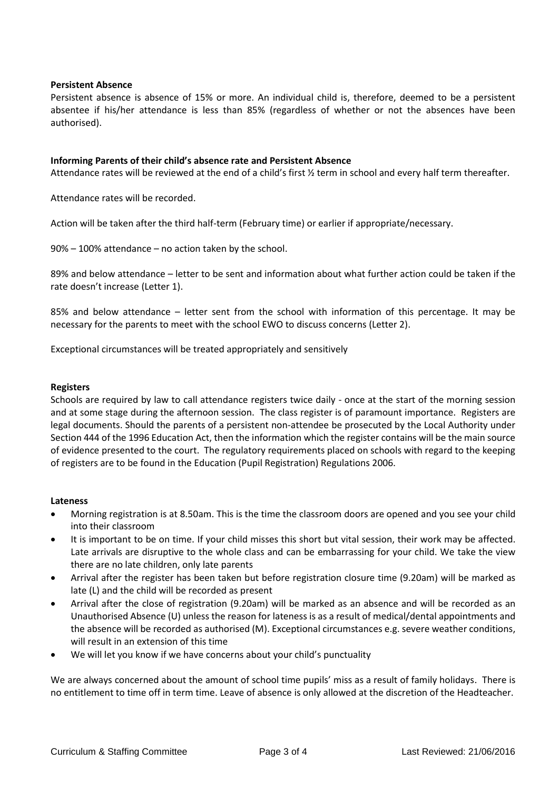### **Persistent Absence**

Persistent absence is absence of 15% or more. An individual child is, therefore, deemed to be a persistent absentee if his/her attendance is less than 85% (regardless of whether or not the absences have been authorised).

### **Informing Parents of their child's absence rate and Persistent Absence**

Attendance rates will be reviewed at the end of a child's first ½ term in school and every half term thereafter.

Attendance rates will be recorded.

Action will be taken after the third half-term (February time) or earlier if appropriate/necessary.

90% – 100% attendance – no action taken by the school.

89% and below attendance – letter to be sent and information about what further action could be taken if the rate doesn't increase (Letter 1).

85% and below attendance – letter sent from the school with information of this percentage. It may be necessary for the parents to meet with the school EWO to discuss concerns (Letter 2).

Exceptional circumstances will be treated appropriately and sensitively

#### **Registers**

Schools are required by law to call attendance registers twice daily - once at the start of the morning session and at some stage during the afternoon session. The class register is of paramount importance. Registers are legal documents. Should the parents of a persistent non-attendee be prosecuted by the Local Authority under Section 444 of the 1996 Education Act, then the information which the register contains will be the main source of evidence presented to the court. The regulatory requirements placed on schools with regard to the keeping of registers are to be found in the Education (Pupil Registration) Regulations 2006.

#### **Lateness**

- Morning registration is at 8.50am. This is the time the classroom doors are opened and you see your child into their classroom
- It is important to be on time. If your child misses this short but vital session, their work may be affected. Late arrivals are disruptive to the whole class and can be embarrassing for your child. We take the view there are no late children, only late parents
- Arrival after the register has been taken but before registration closure time (9.20am) will be marked as late (L) and the child will be recorded as present
- Arrival after the close of registration (9.20am) will be marked as an absence and will be recorded as an Unauthorised Absence (U) unless the reason for lateness is as a result of medical/dental appointments and the absence will be recorded as authorised (M). Exceptional circumstances e.g. severe weather conditions, will result in an extension of this time
- We will let you know if we have concerns about your child's punctuality

We are always concerned about the amount of school time pupils' miss as a result of family holidays. There is no entitlement to time off in term time. Leave of absence is only allowed at the discretion of the Headteacher.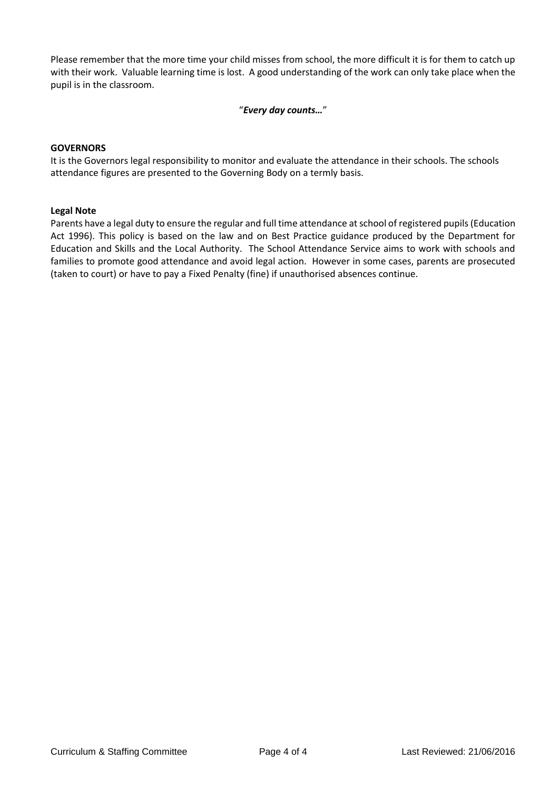Please remember that the more time your child misses from school, the more difficult it is for them to catch up with their work. Valuable learning time is lost. A good understanding of the work can only take place when the pupil is in the classroom.

# "*Every day counts…*"

### **GOVERNORS**

It is the Governors legal responsibility to monitor and evaluate the attendance in their schools. The schools attendance figures are presented to the Governing Body on a termly basis.

#### **Legal Note**

Parents have a legal duty to ensure the regular and full time attendance at school of registered pupils (Education Act 1996). This policy is based on the law and on Best Practice guidance produced by the Department for Education and Skills and the Local Authority. The School Attendance Service aims to work with schools and families to promote good attendance and avoid legal action. However in some cases, parents are prosecuted (taken to court) or have to pay a Fixed Penalty (fine) if unauthorised absences continue.